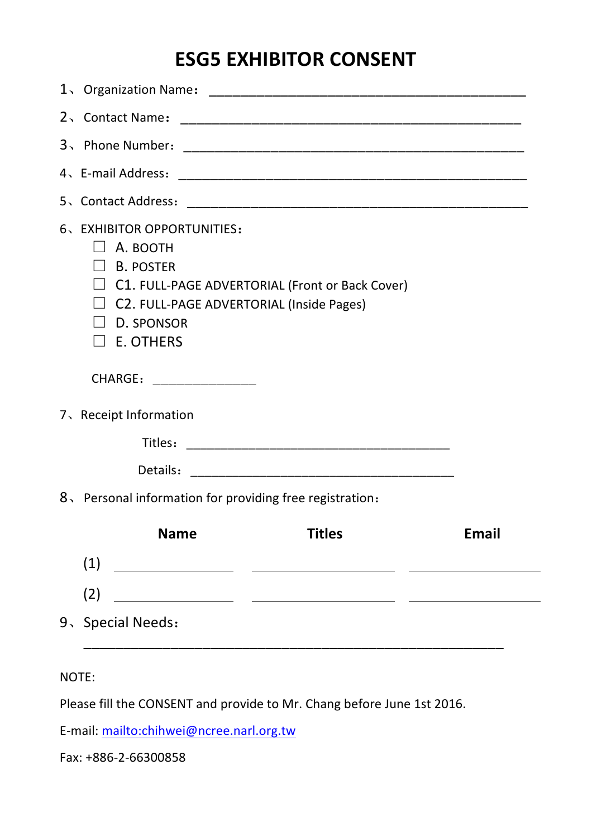## **ESG5 EXHIBITOR CONSENT**

|                       | 6、EXHIBITOR OPPORTUNITIES:<br>$\Box$ A. booth<br>$\Box$ B. POSTER<br>$\Box$ C1. FULL-PAGE ADVERTORIAL (Front or Back Cover)<br>$\Box$ C2. FULL-PAGE ADVERTORIAL (Inside Pages)<br>D. SPONSOR<br>$\square$ E. OTHERS |              |  |  |  |  |  |
|-----------------------|---------------------------------------------------------------------------------------------------------------------------------------------------------------------------------------------------------------------|--------------|--|--|--|--|--|
|                       | CHARGE: __________________                                                                                                                                                                                          |              |  |  |  |  |  |
| 7、Receipt Information |                                                                                                                                                                                                                     |              |  |  |  |  |  |
|                       |                                                                                                                                                                                                                     |              |  |  |  |  |  |
|                       |                                                                                                                                                                                                                     |              |  |  |  |  |  |
|                       | 8. Personal information for providing free registration:                                                                                                                                                            |              |  |  |  |  |  |
|                       | <b>Name</b><br><b>Titles</b>                                                                                                                                                                                        | <b>Email</b> |  |  |  |  |  |
|                       | (1)<br><u> 1980 - Johann Barbara, martxa eta politikaria (h. 1908).</u>                                                                                                                                             |              |  |  |  |  |  |
|                       | (2)                                                                                                                                                                                                                 |              |  |  |  |  |  |
|                       | 9、Special Needs:                                                                                                                                                                                                    |              |  |  |  |  |  |

NOTE:

Please fill the CONSENT and provide to Mr. Chang before June 1st 2016.

E-mail: mailto:chihwei@ncree.narl.org.tw

Fax: +886-2-66300858